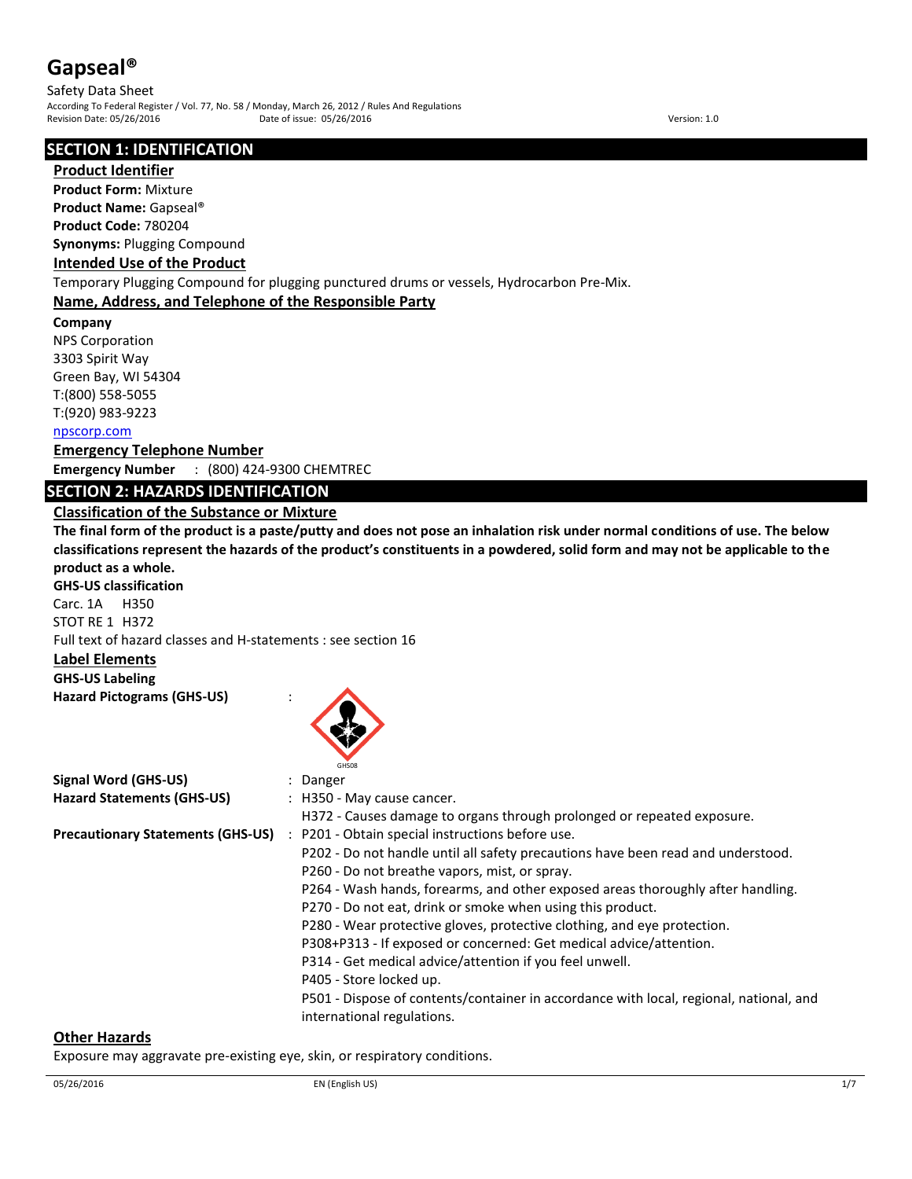Safety Data Sheet According To Federal Register / Vol. 77, No. 58 / Monday, March 26, 2012 / Rules And Regulations Pate of issue: 05/26/2016 Date: 05/26/2016

## **SECTION 1: IDENTIFICATION**

#### **Product Identifier**

**Product Form:** Mixture

**Product Name:** Gapseal®

**Product Code:** 780204

**Synonyms:** Plugging Compound

#### **Intended Use of the Product**

Temporary Plugging Compound for plugging punctured drums or vessels, Hydrocarbon Pre-Mix.

#### **Name, Address, and Telephone of the Responsible Party**

**Company** 

NPS Corporation 3303 Spirit Way Green Bay, WI 54304 T:(800) 558-5055 T:(920) 983-9223

## npscorp.com

**Emergency Telephone Number**

**Emergency Number** : (800) 424-9300 CHEMTREC

## **SECTION 2: HAZARDS IDENTIFICATION**

## **Classification of the Substance or Mixture**

**The final form of the product is a paste/putty and does not pose an inhalation risk under normal conditions of use. The below classifications represent the hazards of the product's constituents in a powdered, solid form and may not be applicable to the product as a whole. GHS-US classification**

Carc. 1A H350 STOT RE 1 H372 Full text of hazard classes and H-statements : see section 16

## **Label Elements**

## **GHS-US Labeling**

**Hazard Pictograms (GHS-US)** :



|                                          | GHS08                                                                                  |
|------------------------------------------|----------------------------------------------------------------------------------------|
| Signal Word (GHS-US)                     | : Danger                                                                               |
| <b>Hazard Statements (GHS-US)</b>        | : H350 - May cause cancer.                                                             |
|                                          | H372 - Causes damage to organs through prolonged or repeated exposure.                 |
| <b>Precautionary Statements (GHS-US)</b> | : P201 - Obtain special instructions before use.                                       |
|                                          | P202 - Do not handle until all safety precautions have been read and understood.       |
|                                          | P260 - Do not breathe vapors, mist, or spray.                                          |
|                                          | P264 - Wash hands, forearms, and other exposed areas thoroughly after handling.        |
|                                          | P270 - Do not eat, drink or smoke when using this product.                             |
|                                          | P280 - Wear protective gloves, protective clothing, and eye protection.                |
|                                          | P308+P313 - If exposed or concerned: Get medical advice/attention.                     |
|                                          | P314 - Get medical advice/attention if you feel unwell.                                |
|                                          | P405 - Store locked up.                                                                |
|                                          | P501 - Dispose of contents/container in accordance with local, regional, national, and |
|                                          | international regulations.                                                             |

#### **Other Hazards**

Exposure may aggravate pre-existing eye, skin, or respiratory conditions.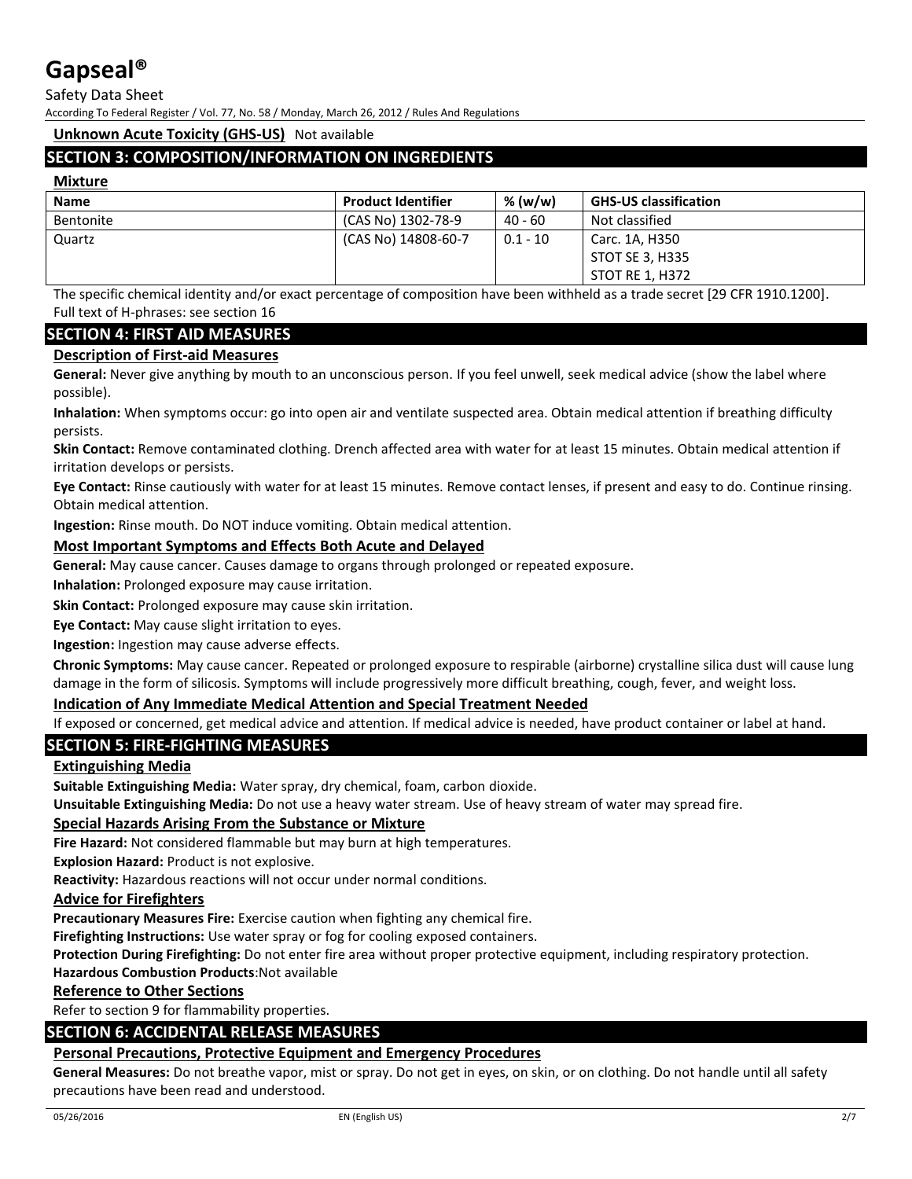Safety Data Sheet

According To Federal Register / Vol. 77, No. 58 / Monday, March 26, 2012 / Rules And Regulations

#### **Unknown Acute Toxicity (GHS-US)** Not available

## **SECTION 3: COMPOSITION/INFORMATION ON INGREDIENTS**

#### **Mixture**

| <b>Name</b> | <b>Product Identifier</b> | % (w/w)    | <b>GHS-US classification</b> |
|-------------|---------------------------|------------|------------------------------|
| Bentonite   | (CAS No) 1302-78-9        | $40 - 60$  | Not classified               |
| Quartz      | (CAS No) 14808-60-7       | $0.1 - 10$ | Carc. 1A, H350               |
|             |                           |            | STOT SE 3, H335              |
|             |                           |            | STOT RE 1, H372              |

The specific chemical identity and/or exact percentage of composition have been withheld as a trade secret [29 CFR 1910.1200]. Full text of H-phrases: see section 16

## **SECTION 4: FIRST AID MEASURES**

#### **Description of First-aid Measures**

**General:** Never give anything by mouth to an unconscious person. If you feel unwell, seek medical advice (show the label where possible).

**Inhalation:** When symptoms occur: go into open air and ventilate suspected area. Obtain medical attention if breathing difficulty persists.

**Skin Contact:** Remove contaminated clothing. Drench affected area with water for at least 15 minutes. Obtain medical attention if irritation develops or persists.

**Eye Contact:** Rinse cautiously with water for at least 15 minutes. Remove contact lenses, if present and easy to do. Continue rinsing. Obtain medical attention.

**Ingestion:** Rinse mouth. Do NOT induce vomiting. Obtain medical attention.

## **Most Important Symptoms and Effects Both Acute and Delayed**

**General:** May cause cancer. Causes damage to organs through prolonged or repeated exposure.

**Inhalation:** Prolonged exposure may cause irritation.

**Skin Contact:** Prolonged exposure may cause skin irritation.

**Eye Contact:** May cause slight irritation to eyes.

**Ingestion:** Ingestion may cause adverse effects.

**Chronic Symptoms:** May cause cancer. Repeated or prolonged exposure to respirable (airborne) crystalline silica dust will cause lung damage in the form of silicosis. Symptoms will include progressively more difficult breathing, cough, fever, and weight loss.

#### **Indication of Any Immediate Medical Attention and Special Treatment Needed**

If exposed or concerned, get medical advice and attention. If medical advice is needed, have product container or label at hand.

## **SECTION 5: FIRE-FIGHTING MEASURES**

#### **Extinguishing Media**

**Suitable Extinguishing Media:** Water spray, dry chemical, foam, carbon dioxide.

**Unsuitable Extinguishing Media:** Do not use a heavy water stream. Use of heavy stream of water may spread fire.

#### **Special Hazards Arising From the Substance or Mixture**

**Fire Hazard:** Not considered flammable but may burn at high temperatures.

**Explosion Hazard:** Product is not explosive.

**Reactivity:** Hazardous reactions will not occur under normal conditions.

#### **Advice for Firefighters**

**Precautionary Measures Fire:** Exercise caution when fighting any chemical fire.

**Firefighting Instructions:** Use water spray or fog for cooling exposed containers.

**Protection During Firefighting:** Do not enter fire area without proper protective equipment, including respiratory protection.

**Hazardous Combustion Products**:Not available

## **Reference to Other Sections**

Refer to section 9 for flammability properties.

## **SECTION 6: ACCIDENTAL RELEASE MEASURES**

#### **Personal Precautions, Protective Equipment and Emergency Procedures**

**General Measures:** Do not breathe vapor, mist or spray. Do not get in eyes, on skin, or on clothing. Do not handle until all safety precautions have been read and understood.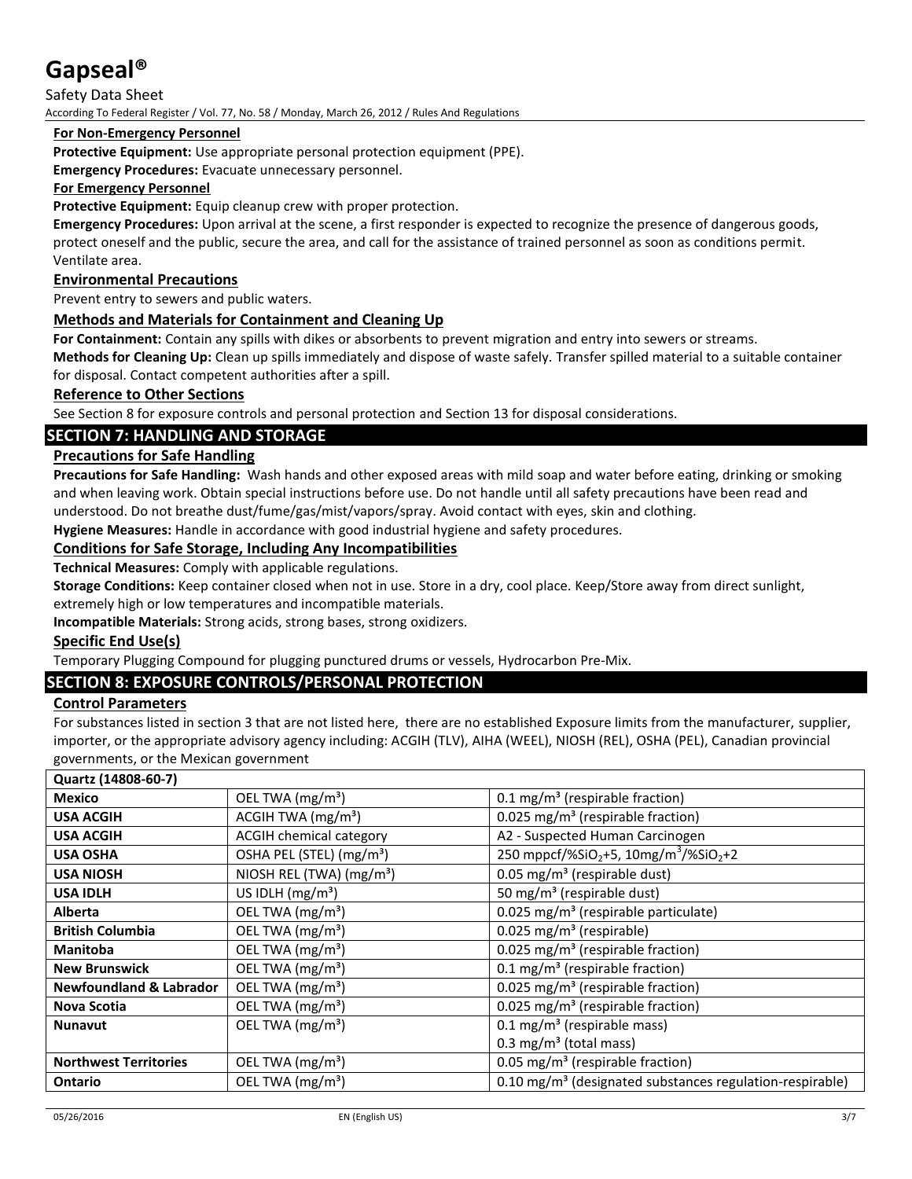Safety Data Sheet

According To Federal Register / Vol. 77, No. 58 / Monday, March 26, 2012 / Rules And Regulations

## **For Non-Emergency Personnel**

**Protective Equipment:** Use appropriate personal protection equipment (PPE).

**Emergency Procedures:** Evacuate unnecessary personnel.

#### **For Emergency Personnel**

**Protective Equipment:** Equip cleanup crew with proper protection.

**Emergency Procedures:** Upon arrival at the scene, a first responder is expected to recognize the presence of dangerous goods, protect oneself and the public, secure the area, and call for the assistance of trained personnel as soon as conditions permit. Ventilate area.

## **Environmental Precautions**

Prevent entry to sewers and public waters.

## **Methods and Materials for Containment and Cleaning Up**

**For Containment:** Contain any spills with dikes or absorbents to prevent migration and entry into sewers or streams. **Methods for Cleaning Up:** Clean up spills immediately and dispose of waste safely. Transfer spilled material to a suitable container for disposal. Contact competent authorities after a spill.

## **Reference to Other Sections**

See Section 8 for exposure controls and personal protection and Section 13 for disposal considerations.

## **SECTION 7: HANDLING AND STORAGE**

## **Precautions for Safe Handling**

**Precautions for Safe Handling:** Wash hands and other exposed areas with mild soap and water before eating, drinking or smoking and when leaving work. Obtain special instructions before use. Do not handle until all safety precautions have been read and understood. Do not breathe dust/fume/gas/mist/vapors/spray. Avoid contact with eyes, skin and clothing.

**Hygiene Measures:** Handle in accordance with good industrial hygiene and safety procedures.

## **Conditions for Safe Storage, Including Any Incompatibilities**

**Technical Measures:** Comply with applicable regulations.

**Storage Conditions:** Keep container closed when not in use. Store in a dry, cool place. Keep/Store away from direct sunlight,

extremely high or low temperatures and incompatible materials.

**Incompatible Materials:** Strong acids, strong bases, strong oxidizers.

#### **Specific End Use(s)**

Temporary Plugging Compound for plugging punctured drums or vessels, Hydrocarbon Pre-Mix.

## **SECTION 8: EXPOSURE CONTROLS/PERSONAL PROTECTION**

#### **Control Parameters**

For substances listed in section 3 that are not listed here, there are no established Exposure limits from the manufacturer, supplier, importer, or the appropriate advisory agency including: ACGIH (TLV), AIHA (WEEL), NIOSH (REL), OSHA (PEL), Canadian provincial governments, or the Mexican government

| Quartz (14808-60-7)                |                                      |                                                                           |
|------------------------------------|--------------------------------------|---------------------------------------------------------------------------|
| Mexico                             | OEL TWA (mg/m <sup>3</sup> )         | 0.1 mg/m <sup>3</sup> (respirable fraction)                               |
| <b>USA ACGIH</b>                   | ACGIH TWA $(mg/m3)$                  | 0.025 mg/m <sup>3</sup> (respirable fraction)                             |
| <b>USA ACGIH</b>                   | <b>ACGIH chemical category</b>       | A2 - Suspected Human Carcinogen                                           |
| <b>USA OSHA</b>                    | OSHA PEL (STEL) (mg/m <sup>3</sup> ) | 250 mppcf/%SiO <sub>2</sub> +5, 10mg/m <sup>3</sup> /%SiO <sub>2</sub> +2 |
| <b>USA NIOSH</b>                   | NIOSH REL (TWA) (mg/m <sup>3</sup> ) | 0.05 mg/m <sup>3</sup> (respirable dust)                                  |
| <b>USA IDLH</b>                    | US IDLH $(mg/m3)$                    | 50 mg/m <sup>3</sup> (respirable dust)                                    |
| <b>Alberta</b>                     | OEL TWA (mg/m <sup>3</sup> )         | 0.025 mg/m <sup>3</sup> (respirable particulate)                          |
| <b>British Columbia</b>            | OEL TWA (mg/m <sup>3</sup> )         | $0.025$ mg/m <sup>3</sup> (respirable)                                    |
| <b>Manitoba</b>                    | OEL TWA (mg/m <sup>3</sup> )         | 0.025 mg/m <sup>3</sup> (respirable fraction)                             |
| <b>New Brunswick</b>               | OEL TWA $(mg/m3)$                    | $0.1 \text{ mg/m}^3$ (respirable fraction)                                |
| <b>Newfoundland &amp; Labrador</b> | OEL TWA (mg/m <sup>3</sup> )         | 0.025 mg/m <sup>3</sup> (respirable fraction)                             |
| <b>Nova Scotia</b>                 | OEL TWA (mg/m <sup>3</sup> )         | 0.025 mg/m <sup>3</sup> (respirable fraction)                             |
| <b>Nunavut</b>                     | OEL TWA $(mg/m3)$                    | 0.1 mg/m <sup>3</sup> (respirable mass)                                   |
|                                    |                                      | 0.3 mg/m <sup>3</sup> (total mass)                                        |
| <b>Northwest Territories</b>       | OEL TWA (mg/m <sup>3</sup> )         | 0.05 mg/m <sup>3</sup> (respirable fraction)                              |
| <b>Ontario</b>                     | OEL TWA $(mg/m3)$                    | $0.10$ mg/m <sup>3</sup> (designated substances regulation-respirable)    |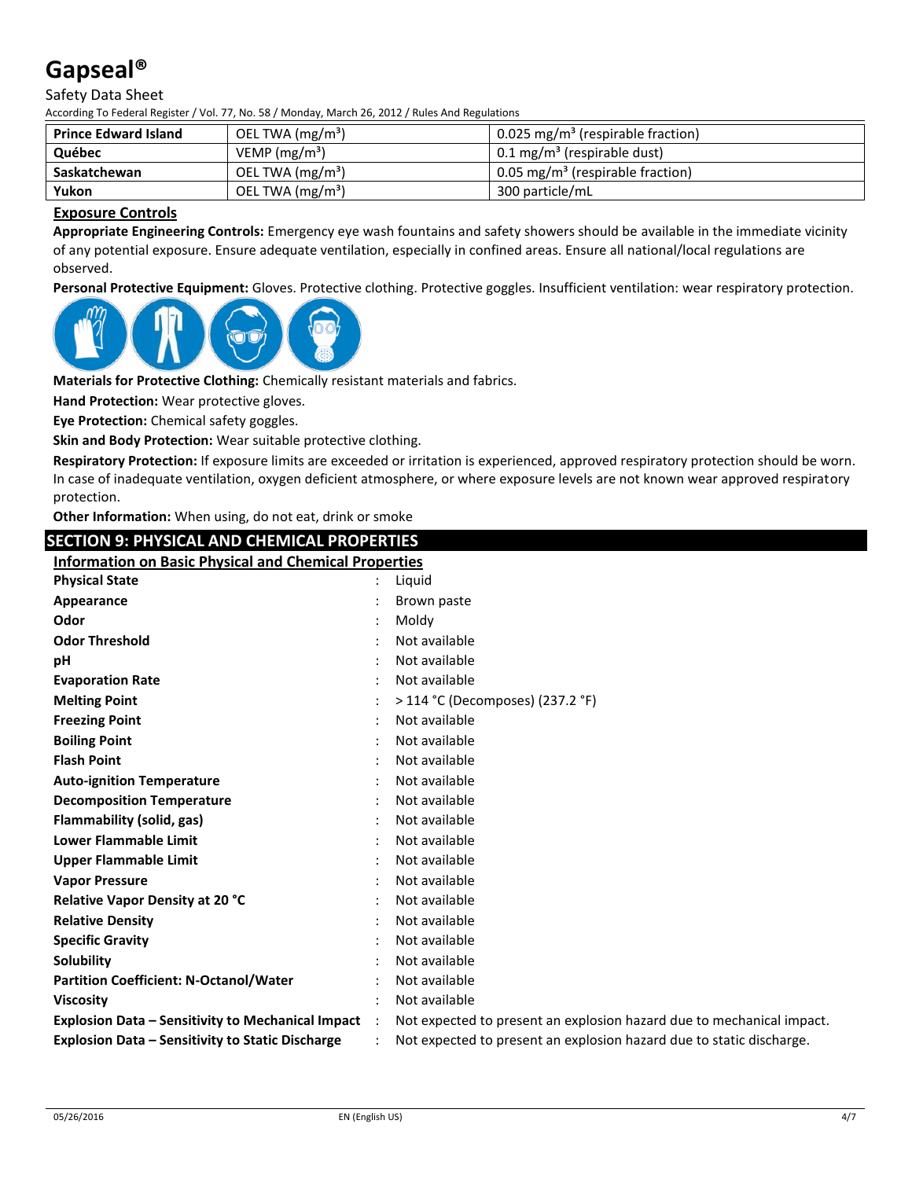#### Safety Data Sheet

According To Federal Register / Vol. 77, No. 58 / Monday, March 26, 2012 / Rules And Regulations

| <b>Prince Edward Island</b> | OEL TWA $(mg/m3)$ | 0.025 mg/m <sup>3</sup> (respirable fraction) |
|-----------------------------|-------------------|-----------------------------------------------|
| Québec                      | VEMP $(mg/m3)$    | $0.1 \text{ mg/m}^3$ (respirable dust)        |
| Saskatchewan                | OEL TWA $(mg/m3)$ | 0.05 mg/m <sup>3</sup> (respirable fraction)  |
| Yukon                       | OEL TWA $(mg/m3)$ | 300 particle/mL                               |

#### **Exposure Controls**

**Appropriate Engineering Controls:** Emergency eye wash fountains and safety showers should be available in the immediate vicinity of any potential exposure. Ensure adequate ventilation, especially in confined areas. Ensure all national/local regulations are observed.

**Personal Protective Equipment:** Gloves. Protective clothing. Protective goggles. Insufficient ventilation: wear respiratory protection.



**Materials for Protective Clothing:** Chemically resistant materials and fabrics.

**Hand Protection:** Wear protective gloves.

**Eye Protection:** Chemical safety goggles.

**Skin and Body Protection:** Wear suitable protective clothing.

**Respiratory Protection:** If exposure limits are exceeded or irritation is experienced, approved respiratory protection should be worn. In case of inadequate ventilation, oxygen deficient atmosphere, or where exposure levels are not known wear approved respiratory protection.

**Other Information:** When using, do not eat, drink or smoke

## **SECTION 9: PHYSICAL AND CHEMICAL PROPERTIES**

**Information on Basic Physical and Chemical Properties**

| <b>Physical State</b>                                    | Liquid                                                                |
|----------------------------------------------------------|-----------------------------------------------------------------------|
| Appearance                                               | Brown paste                                                           |
| Odor                                                     | Moldy                                                                 |
| <b>Odor Threshold</b>                                    | Not available                                                         |
| pH                                                       | Not available                                                         |
| <b>Evaporation Rate</b>                                  | Not available                                                         |
| <b>Melting Point</b>                                     | > 114 °C (Decomposes) (237.2 °F)                                      |
| <b>Freezing Point</b>                                    | Not available                                                         |
| <b>Boiling Point</b>                                     | Not available                                                         |
| <b>Flash Point</b>                                       | Not available                                                         |
| <b>Auto-ignition Temperature</b>                         | Not available                                                         |
| <b>Decomposition Temperature</b>                         | Not available                                                         |
| Flammability (solid, gas)                                | Not available                                                         |
| <b>Lower Flammable Limit</b>                             | Not available                                                         |
| <b>Upper Flammable Limit</b>                             | Not available                                                         |
| <b>Vapor Pressure</b>                                    | Not available                                                         |
| <b>Relative Vapor Density at 20 °C</b>                   | Not available                                                         |
| <b>Relative Density</b>                                  | Not available                                                         |
| <b>Specific Gravity</b>                                  | Not available                                                         |
| Solubility                                               | Not available                                                         |
| <b>Partition Coefficient: N-Octanol/Water</b>            | Not available                                                         |
| <b>Viscosity</b>                                         | Not available                                                         |
| <b>Explosion Data - Sensitivity to Mechanical Impact</b> | Not expected to present an explosion hazard due to mechanical impact. |
| <b>Explosion Data - Sensitivity to Static Discharge</b>  | Not expected to present an explosion hazard due to static discharge.  |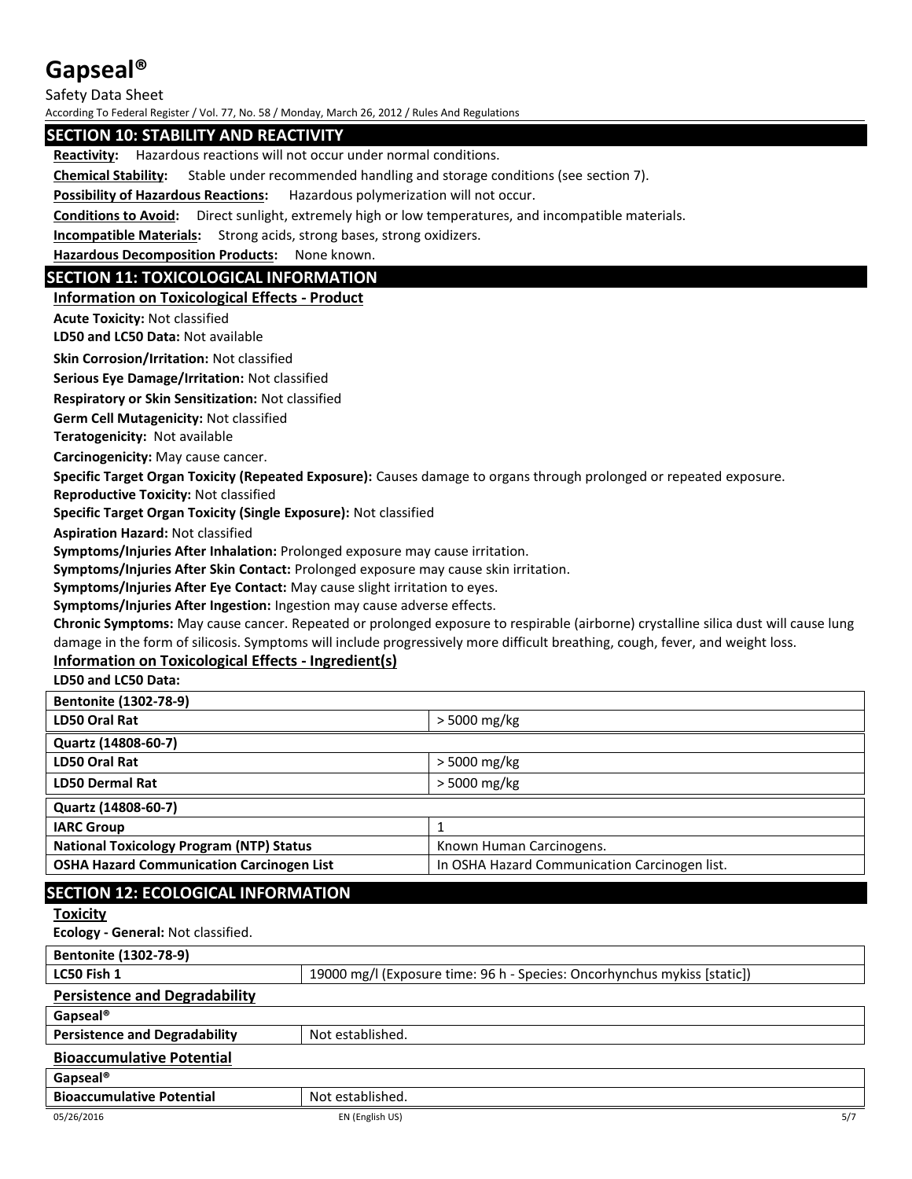Safety Data Sheet

According To Federal Register / Vol. 77, No. 58 / Monday, March 26, 2012 / Rules And Regulations

## **SECTION 10: STABILITY AND REACTIVITY**

**Reactivity:** Hazardous reactions will not occur under normal conditions.

**Chemical Stability:** Stable under recommended handling and storage conditions (see section 7).

**Possibility of Hazardous Reactions:** Hazardous polymerization will not occur.

**Conditions to Avoid:** Direct sunlight, extremely high or low temperatures, and incompatible materials.

**Incompatible Materials:** Strong acids, strong bases, strong oxidizers.

**Hazardous Decomposition Products:** None known.

#### **SECTION 11: TOXICOLOGICAL INFORMATION**

#### **Information on Toxicological Effects - Product**

**Acute Toxicity:** Not classified

**LD50 and LC50 Data:** Not available

**Skin Corrosion/Irritation:** Not classified

**Serious Eye Damage/Irritation:** Not classified

**Respiratory or Skin Sensitization:** Not classified

**Germ Cell Mutagenicity:** Not classified

**Teratogenicity:** Not available

**Carcinogenicity:** May cause cancer.

**Specific Target Organ Toxicity (Repeated Exposure):** Causes damage to organs through prolonged or repeated exposure.

**Reproductive Toxicity:** Not classified

**Specific Target Organ Toxicity (Single Exposure):** Not classified

**Aspiration Hazard:** Not classified

**Symptoms/Injuries After Inhalation:** Prolonged exposure may cause irritation.

**Symptoms/Injuries After Skin Contact:** Prolonged exposure may cause skin irritation.

**Symptoms/Injuries After Eye Contact:** May cause slight irritation to eyes.

**Symptoms/Injuries After Ingestion:** Ingestion may cause adverse effects.

**Chronic Symptoms:** May cause cancer. Repeated or prolonged exposure to respirable (airborne) crystalline silica dust will cause lung damage in the form of silicosis. Symptoms will include progressively more difficult breathing, cough, fever, and weight loss.

## **Information on Toxicological Effects - Ingredient(s)**

**LD50 and LC50 Data:**

| <b>LD50 Oral Rat</b><br>$>$ 5000 mg/kg<br>Quartz (14808-60-7)<br>LD50 Oral Rat<br>$>$ 5000 mg/kg<br><b>LD50 Dermal Rat</b><br>$>$ 5000 mg/kg | <b>Bentonite (1302-78-9)</b> |  |
|----------------------------------------------------------------------------------------------------------------------------------------------|------------------------------|--|
|                                                                                                                                              |                              |  |
|                                                                                                                                              |                              |  |
|                                                                                                                                              |                              |  |
|                                                                                                                                              |                              |  |
| Quartz (14808-60-7)                                                                                                                          |                              |  |
| <b>IARC Group</b>                                                                                                                            |                              |  |
| <b>National Toxicology Program (NTP) Status</b><br>Known Human Carcinogens.                                                                  |                              |  |
| <b>OSHA Hazard Communication Carcinogen List</b><br>In OSHA Hazard Communication Carcinogen list.                                            |                              |  |

## **SECTION 12: ECOLOGICAL INFORMATION**

#### **Toxicity**

**Ecology - General:** Not classified.

| Bentonite (1302-78-9)                |                                                                          |  |
|--------------------------------------|--------------------------------------------------------------------------|--|
| LC50 Fish 1                          | 19000 mg/l (Exposure time: 96 h - Species: Oncorhynchus mykiss [static]) |  |
| <b>Persistence and Degradability</b> |                                                                          |  |
| Gapseal <sup>®</sup>                 |                                                                          |  |
| <b>Persistence and Degradability</b> | Not established.                                                         |  |
| <b>Bioaccumulative Potential</b>     |                                                                          |  |
| Gapseal <sup>®</sup>                 |                                                                          |  |
| <b>Bioaccumulative Potential</b>     | Not established.                                                         |  |
| 05/26/2016                           | 5/7<br>EN (English US)                                                   |  |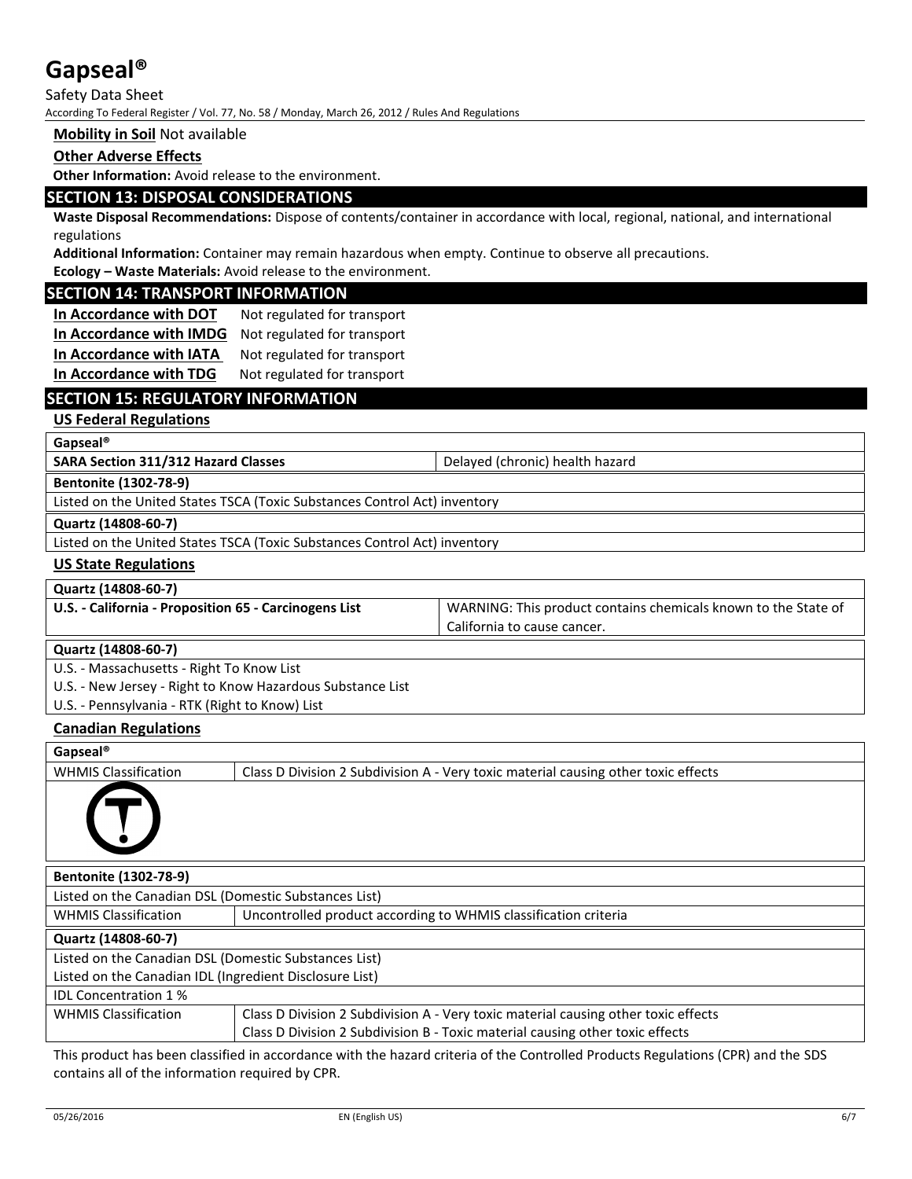Safety Data Sheet

According To Federal Register / Vol. 77, No. 58 / Monday, March 26, 2012 / Rules And Regulations

#### **Mobility in Soil** Not available

#### **Other Adverse Effects**

**Other Information:** Avoid release to the environment.

## **SECTION 13: DISPOSAL CONSIDERATIONS**

**Waste Disposal Recommendations:** Dispose of contents/container in accordance with local, regional, national, and international regulations

**Additional Information:** Container may remain hazardous when empty. Continue to observe all precautions.

**Ecology – Waste Materials:** Avoid release to the environment.

#### **SECTION 14: TRANSPORT INFORMATION**

**In Accordance with DOT** Not regulated for transport **In Accordance with IMDG** Not regulated for transport **In Accordance with IATA** Not regulated for transport **In Accordance with TDG** Not regulated for transport

## **SECTION 15: REGULATORY INFORMATION**

#### **US Federal Regulations**

**Gapseal®**

**SARA Section 311/312 Hazard Classes** Delayed (chronic) health hazard

**Bentonite (1302-78-9)**

Listed on the United States TSCA (Toxic Substances Control Act) inventory

**Quartz (14808-60-7)**

Listed on the United States TSCA (Toxic Substances Control Act) inventory

#### **US State Regulations**

**Quartz (14808-60-7)**

| U.S. - California - Proposition 65 - Carcinogens List | WARNING: This product contains chemicals known to the State of |
|-------------------------------------------------------|----------------------------------------------------------------|
|                                                       | California to cause cancer.                                    |

#### **Quartz (14808-60-7)**

U.S. - Massachusetts - Right To Know List

U.S. - New Jersey - Right to Know Hazardous Substance List

U.S. - Pennsylvania - RTK (Right to Know) List

#### **Canadian Regulations**

#### **Gapseal®**

WHMIS Classification **Class D** Division 2 Subdivision A - Very toxic material causing other toxic effects



| <b>Bentonite (1302-78-9)</b>                            |                                                                                    |  |  |
|---------------------------------------------------------|------------------------------------------------------------------------------------|--|--|
| Listed on the Canadian DSL (Domestic Substances List)   |                                                                                    |  |  |
| <b>WHMIS Classification</b>                             | Uncontrolled product according to WHMIS classification criteria                    |  |  |
| Quartz (14808-60-7)                                     |                                                                                    |  |  |
| Listed on the Canadian DSL (Domestic Substances List)   |                                                                                    |  |  |
| Listed on the Canadian IDL (Ingredient Disclosure List) |                                                                                    |  |  |
| <b>IDL Concentration 1%</b>                             |                                                                                    |  |  |
| <b>WHMIS Classification</b>                             | Class D Division 2 Subdivision A - Very toxic material causing other toxic effects |  |  |
|                                                         | Class D Division 2 Subdivision B - Toxic material causing other toxic effects      |  |  |

This product has been classified in accordance with the hazard criteria of the Controlled Products Regulations (CPR) and the SDS contains all of the information required by CPR.